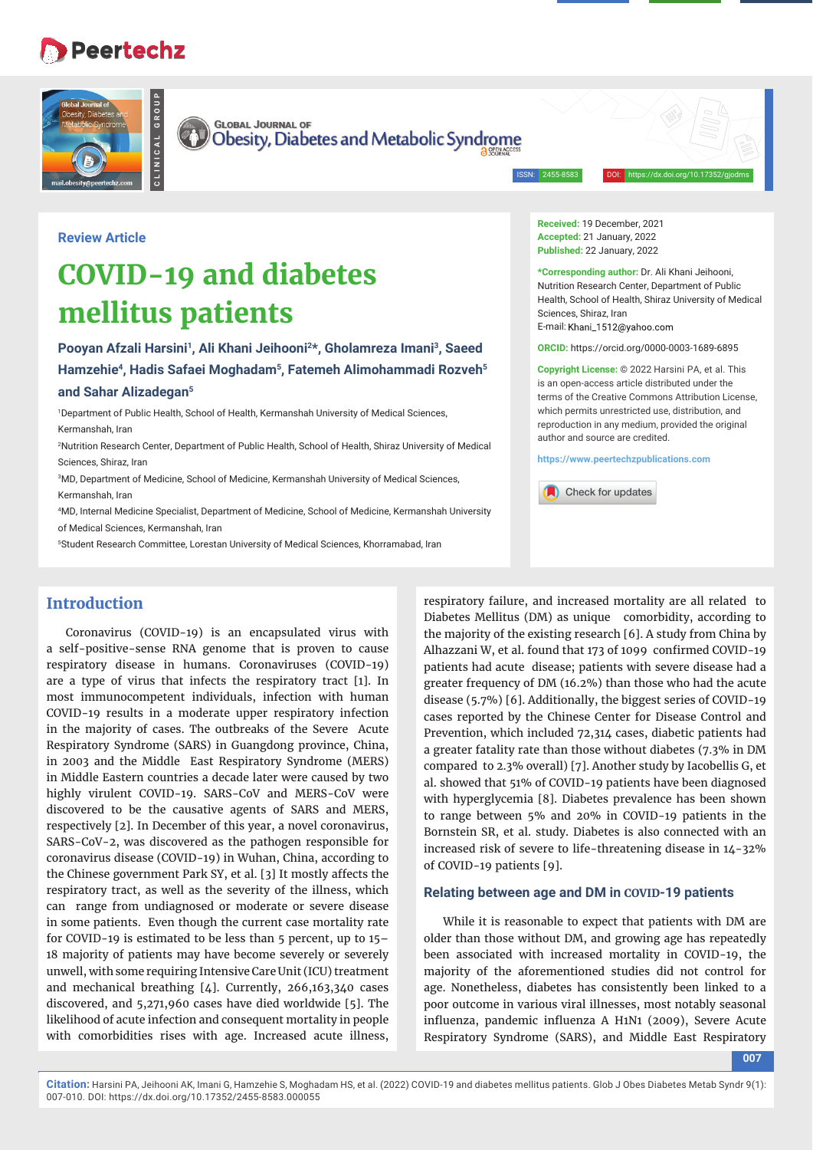# **Peertechz**



**CLINICAL GROUP**

**GLOBAL JOURNAL OF** Obesity, Diabetes and Metabolic Syndrome

ISSN: 2455-8583 DOI: https://dx.doi.org/10.17352/gjodms

**Review Article**

# **COVID-19 and diabetes mellitus patients**

Pooyan Afzali Harsini<sup>1</sup>, Ali Khani Jeihooni<sup>2\*</sup>, Gholamreza Imani<sup>3</sup>, Saeed **Hamzehie4, Hadis Safaei Moghadam5, Fatemeh Alimohammadi Rozveh5 and Sahar Alizadegan5**

1 Department of Public Health, School of Health, Kermanshah University of Medical Sciences, Kermanshah, Iran

2 Nutrition Research Center, Department of Public Health, School of Health, Shiraz University of Medical Sciences, Shiraz, Iran

3 MD, Department of Medicine, School of Medicine, Kermanshah University of Medical Sciences, Kermanshah, Iran

4 MD, Internal Medicine Specialist, Department of Medicine, School of Medicine, Kermanshah University of Medical Sciences, Kermanshah, Iran

5 Student Research Committee, Lorestan University of Medical Sciences, Khorramabad, Iran

# **Introduction**

Coronavirus (COVID-19) is an encapsulated virus with a self-positive-sense RNA genome that is proven to cause respiratory disease in humans. Coronaviruses (COVID-19) are a type of virus that infects the respiratory tract [1]. In most immunocompetent individuals, infection with human COVID-19 results in a moderate upper respiratory infection in the majority of cases. The outbreaks of the Severe Acute Respiratory Syndrome (SARS) in Guangdong province, China, in 2003 and the Middle East Respiratory Syndrome (MERS) in Middle Eastern countries a decade later were caused by two highly virulent COVID-19. SARS-CoV and MERS-CoV were discovered to be the causative agents of SARS and MERS, respectively [2]. In December of this year, a novel coronavirus, SARS-CoV-2, was discovered as the pathogen responsible for coronavirus disease (COVID-19) in Wuhan, China, according to the Chinese government Park SY, et al. [3] It mostly affects the respiratory tract, as well as the severity of the illness, which can range from undiagnosed or moderate or severe disease in some patients. Even though the current case mortality rate for COVID-19 is estimated to be less than 5 percent, up to 15– 18 majority of patients may have become severely or severely unwell, with some requiring Intensive Care Unit (ICU) treatment and mechanical breathing [4]. Currently, 266,163,340 cases discovered, and 5,271,960 cases have died worldwide [5]. The likelihood of acute infection and consequent mortality in people with comorbidities rises with age. Increased acute illness,

**Received:** 19 December, 2021 **Accepted:** 21 January, 2022 **Published:** 22 January, 2022

**\*Corresponding author:** Dr. Ali Khani Jeihooni, Nutrition Research Center, Department of Public Health, School of Health, Shiraz University of Medical Sciences, Shiraz, Iran E-mail: Khani 1512@vahoo.com

**ORCID:** https://orcid.org/0000-0003-1689-6895

**Copyright License:** © 2022 Harsini PA, et al. This is an open-access article distributed under the terms of the Creative Commons Attribution License, which permits unrestricted use, distribution, and reproduction in any medium, provided the original author and source are credited.

**https://www.peertechzpublications.com**

Check for updates

respiratory failure, and increased mortality are all related to Diabetes Mellitus (DM) as unique comorbidity, according to the majority of the existing research [6]. A study from China by Alhazzani W, et al. found that 173 of 1099 confirmed COVID-19 patients had acute disease; patients with severe disease had a greater frequency of DM (16.2%) than those who had the acute disease (5.7%) [6]. Additionally, the biggest series of COVID-19 cases reported by the Chinese Center for Disease Control and Prevention, which included 72,314 cases, diabetic patients had a greater fatality rate than those without diabetes (7.3% in DM compared to 2.3% overall) [7]. Another study by Iacobellis G, et al. showed that 51% of COVID-19 patients have been diagnosed with hyperglycemia [8]. Diabetes prevalence has been shown to range between 5% and 20% in COVID-19 patients in the Bornstein SR, et al. study. Diabetes is also connected with an increased risk of severe to life-threatening disease in 14-32% of COVID-19 patients [9].

#### **Relating between age and DM in COVID-19 patients**

While it is reasonable to expect that patients with DM are older than those without DM, and growing age has repeatedly been associated with increased mortality in COVID-19, the majority of the aforementioned studies did not control for age. Nonetheless, diabetes has consistently been linked to a poor outcome in various viral illnesses, most notably seasonal influenza, pandemic influenza A H1N1 (2009), Severe Acute Respiratory Syndrome (SARS), and Middle East Respiratory

**007**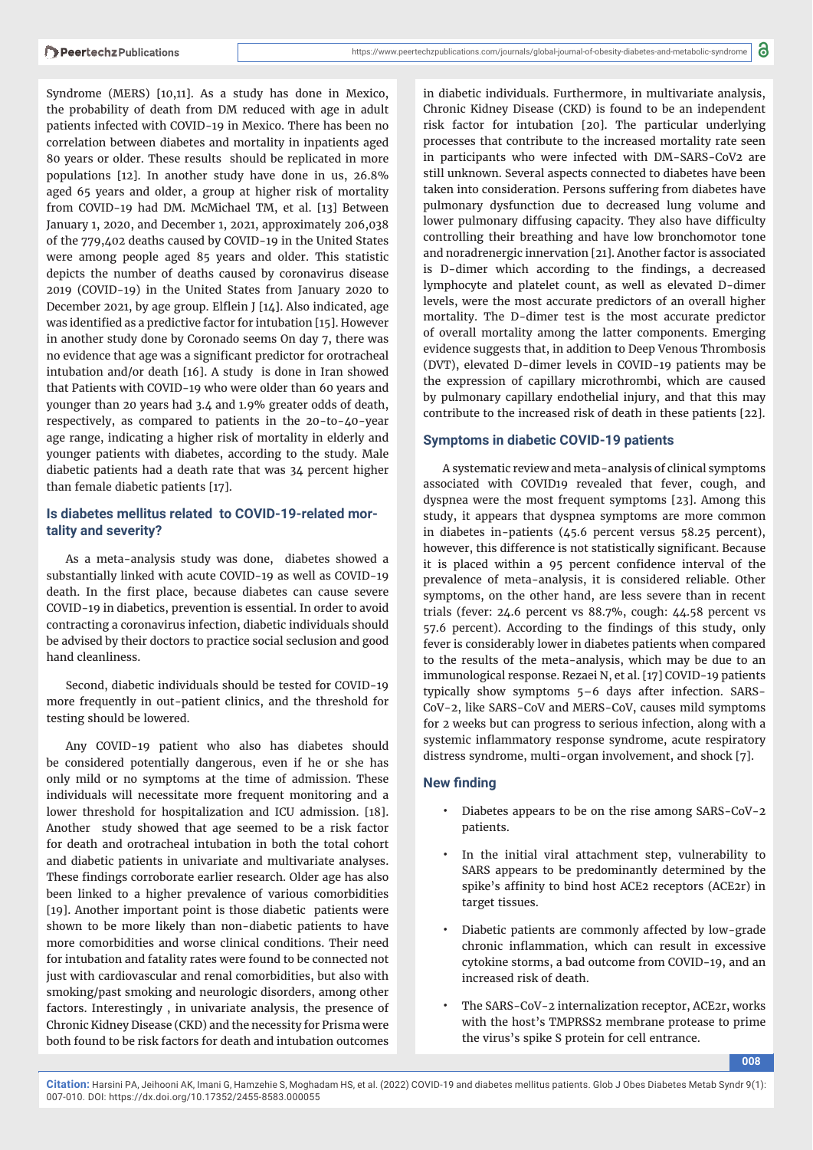Syndrome (MERS) [10,11]. As a study has done in Mexico, the probability of death from DM reduced with age in adult patients infected with COVID-19 in Mexico. There has been no correlation between diabetes and mortality in inpatients aged 80 years or older. These results should be replicated in more populations [12]. In another study have done in us, 26.8% aged 65 years and older, a group at higher risk of mortality from COVID-19 had DM. McMichael TM, et al. [13] Between January 1, 2020, and December 1, 2021, approximately 206,038 of the 779,402 deaths caused by COVID-19 in the United States were among people aged 85 years and older. This statistic depicts the number of deaths caused by coronavirus disease 2019 (COVID-19) in the United States from January 2020 to December 2021, by age group. Elflein J [14]. Also indicated, age was identified as a predictive factor for intubation [15]. However in another study done by Coronado seems On day 7, there was no evidence that age was a significant predictor for orotracheal intubation and/or death [16]. A study is done in Iran showed that Patients with COVID-19 who were older than 60 years and younger than 20 years had 3.4 and 1.9% greater odds of death, respectively, as compared to patients in the 20-to-40-year age range, indicating a higher risk of mortality in elderly and younger patients with diabetes, according to the study. Male diabetic patients had a death rate that was 34 percent higher than female diabetic patients [17].

### **Is diabetes mellitus related to COVID-19-related mortality and severity?**

As a meta-analysis study was done, diabetes showed a substantially linked with acute COVID-19 as well as COVID-19 death. In the first place, because diabetes can cause severe COVID-19 in diabetics, prevention is essential. In order to avoid contracting a coronavirus infection, diabetic individuals should be advised by their doctors to practice social seclusion and good hand cleanliness.

Second, diabetic individuals should be tested for COVID-19 more frequently in out-patient clinics, and the threshold for testing should be lowered.

Any COVID-19 patient who also has diabetes should be considered potentially dangerous, even if he or she has only mild or no symptoms at the time of admission. These individuals will necessitate more frequent monitoring and a lower threshold for hospitalization and ICU admission. [18]. Another study showed that age seemed to be a risk factor for death and orotracheal intubation in both the total cohort and diabetic patients in univariate and multivariate analyses. These findings corroborate earlier research. Older age has also been linked to a higher prevalence of various comorbidities [19]. Another important point is those diabetic patients were shown to be more likely than non-diabetic patients to have more comorbidities and worse clinical conditions. Their need for intubation and fatality rates were found to be connected not just with cardiovascular and renal comorbidities, but also with smoking/past smoking and neurologic disorders, among other factors. Interestingly , in univariate analysis, the presence of Chronic Kidney Disease (CKD) and the necessity for Prisma were both found to be risk factors for death and intubation outcomes

in diabetic individuals. Furthermore, in multivariate analysis, Chronic Kidney Disease (CKD) is found to be an independent risk factor for intubation [20]. The particular underlying processes that contribute to the increased mortality rate seen in participants who were infected with DM-SARS-CoV2 are still unknown. Several aspects connected to diabetes have been taken into consideration. Persons suffering from diabetes have pulmonary dysfunction due to decreased lung volume and lower pulmonary diffusing capacity. They also have difficulty controlling their breathing and have low bronchomotor tone and noradrenergic innervation [21]. Another factor is associated is D-dimer which according to the findings, a decreased lymphocyte and platelet count, as well as elevated D-dimer levels, were the most accurate predictors of an overall higher mortality. The D-dimer test is the most accurate predictor of overall mortality among the latter components. Emerging evidence suggests that, in addition to Deep Venous Thrombosis (DVT), elevated D-dimer levels in COVID-19 patients may be the expression of capillary microthrombi, which are caused by pulmonary capillary endothelial injury, and that this may contribute to the increased risk of death in these patients [22].

### **Symptoms in diabetic COVID-19 patients**

A systematic review and meta-analysis of clinical symptoms associated with COVID19 revealed that fever, cough, and dyspnea were the most frequent symptoms [23]. Among this study, it appears that dyspnea symptoms are more common in diabetes in-patients (45.6 percent versus 58.25 percent), however, this difference is not statistically significant. Because it is placed within a 95 percent confidence interval of the prevalence of meta-analysis, it is considered reliable. Other symptoms, on the other hand, are less severe than in recent trials (fever: 24.6 percent vs 88.7%, cough: 44.58 percent vs 57.6 percent). According to the findings of this study, only fever is considerably lower in diabetes patients when compared to the results of the meta-analysis, which may be due to an immunological response. Rezaei N, et al. [17] COVID-19 patients typically show symptoms 5–6 days after infection. SARS-CoV-2, like SARS-CoV and MERS-CoV, causes mild symptoms for 2 weeks but can progress to serious infection, along with a systemic inflammatory response syndrome, acute respiratory distress syndrome, multi-organ involvement, and shock [7].

## **New finding**

- Diabetes appears to be on the rise among SARS-CoV-2 patients.
- In the initial viral attachment step, vulnerability to SARS appears to be predominantly determined by the spike's affinity to bind host ACE2 receptors (ACE2r) in target tissues.
- Diabetic patients are commonly affected by low-grade chronic inflammation, which can result in excessive cytokine storms, a bad outcome from COVID-19, and an increased risk of death.
- The SARS-CoV-2 internalization receptor, ACE2r, works with the host's TMPRSS2 membrane protease to prime the virus's spike S protein for cell entrance.

**008**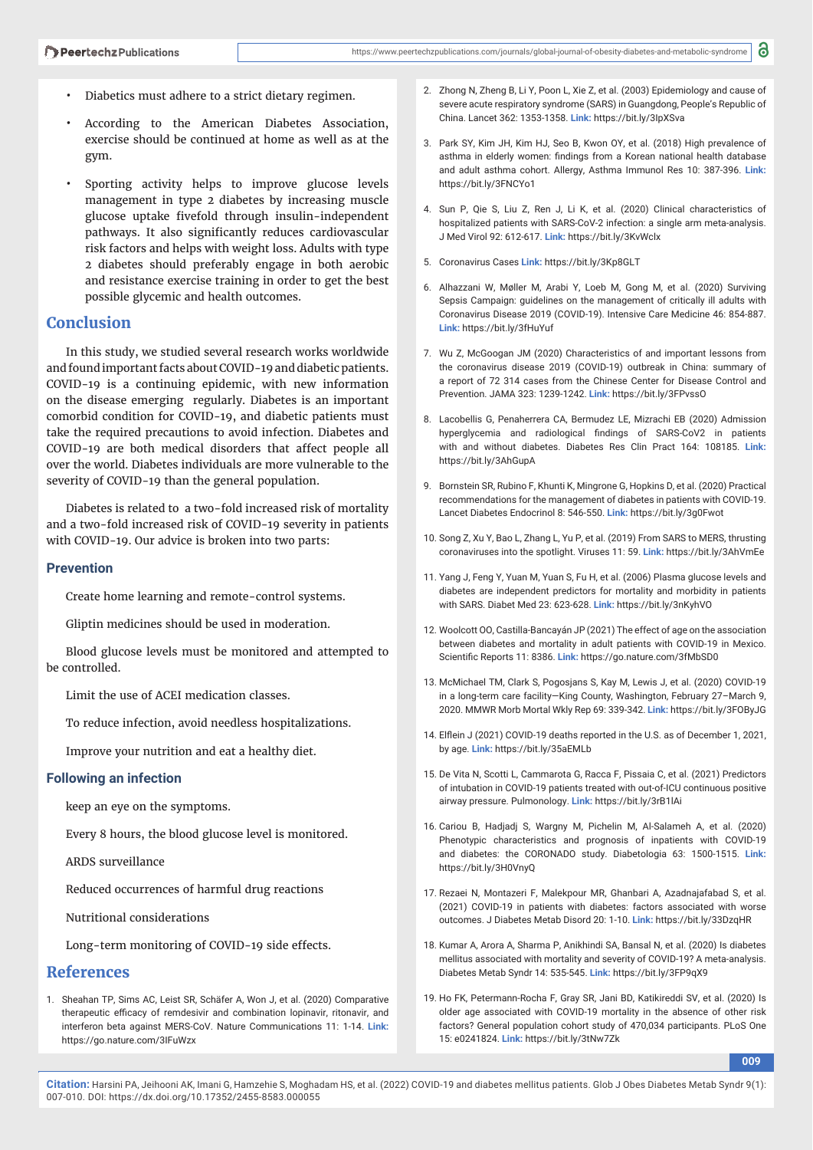- Diabetics must adhere to a strict dietary regimen.
- According to the American Diabetes Association, exercise should be continued at home as well as at the gym.
- Sporting activity helps to improve glucose levels management in type 2 diabetes by increasing muscle glucose uptake fivefold through insulin-independent pathways. It also significantly reduces cardiovascular risk factors and helps with weight loss. Adults with type 2 diabetes should preferably engage in both aerobic and resistance exercise training in order to get the best possible glycemic and health outcomes.

# **Conclusion**

In this study, we studied several research works worldwide and found important facts about COVID-19 and diabetic patients. COVID-19 is a continuing epidemic, with new information on the disease emerging regularly. Diabetes is an important comorbid condition for COVID-19, and diabetic patients must take the required precautions to avoid infection. Diabetes and COVID-19 are both medical disorders that affect people all over the world. Diabetes individuals are more vulnerable to the severity of COVID-19 than the general population.

Diabetes is related to a two-fold increased risk of mortality and a two-fold increased risk of COVID-19 severity in patients with COVID-19. Our advice is broken into two parts:

#### **Prevention**

Create home learning and remote-control systems.

Gliptin medicines should be used in moderation.

Blood glucose levels must be monitored and attempted to be controlled.

Limit the use of ACEI medication classes.

To reduce infection, avoid needless hospitalizations.

Improve your nutrition and eat a healthy diet.

#### **Following an infection**

keep an eye on the symptoms.

Every 8 hours, the blood glucose level is monitored.

ARDS surveillance

Reduced occurrences of harmful drug reactions

Nutritional considerations

Long-term monitoring of COVID-19 side effects.

#### **References**

1. Sheahan TP, Sims AC, Leist SR, Schäfer A, Won J, et al. (2020) Comparative therapeutic efficacy of remdesivir and combination lopinavir, ritonavir, and interferon beta against MERS-CoV. Nature Communications 11: 1-14. **Link:** https://go.nature.com/3IFuWzx

- 2. Zhong N, Zheng B, Li Y, Poon L, Xie Z, et al. (2003) Epidemiology and cause of severe acute respiratory syndrome (SARS) in Guangdong, People's Republic of China. Lancet 362: 1353-1358. **Link:** https://bit.ly/3IpXSva
- 3. Park SY, Kim JH, Kim HJ, Seo B, Kwon OY, et al. (2018) High prevalence of asthma in elderly women: findings from a Korean national health database and adult asthma cohort. Allergy, Asthma Immunol Res 10: 387-396. **Link:** https://bit.ly/3FNCYo1
- 4. Sun P, Qie S, Liu Z, Ren J, Li K, et al. (2020) Clinical characteristics of hospitalized patients with SARS-CoV-2 infection: a single arm meta-analysis. J Med Virol 92: 612-617. **Link:** https://bit.ly/3KvWclx
- 5. Coronavirus Cases **Link:** https://bit.ly/3Kp8GLT
- 6. Alhazzani W, Møller M, Arabi Y, Loeb M, Gong M, et al. (2020) Surviving Sepsis Campaign: guidelines on the management of critically ill adults with Coronavirus Disease 2019 (COVID-19). Intensive Care Medicine 46: 854-887. **Link:** https://bit.ly/3fHuYuf
- 7. Wu Z, McGoogan JM (2020) Characteristics of and important lessons from the coronavirus disease 2019 (COVID-19) outbreak in China: summary of a report of 72 314 cases from the Chinese Center for Disease Control and Prevention. JAMA 323: 1239-1242. **Link:** https://bit.ly/3FPvssO
- 8. Lacobellis G, Penaherrera CA, Bermudez LE, Mizrachi EB (2020) Admission hyperglycemia and radiological findings of SARS-CoV2 in patients with and without diabetes. Diabetes Res Clin Pract 164: 108185. **Link:** https://bit.ly/3AhGupA
- 9. Bornstein SR, Rubino F, Khunti K, Mingrone G, Hopkins D, et al. (2020) Practical recommendations for the management of diabetes in patients with COVID-19. Lancet Diabetes Endocrinol 8: 546-550. **Link:** https://bit.ly/3g0Fwot
- 10. Song Z, Xu Y, Bao L, Zhang L, Yu P, et al. (2019) From SARS to MERS, thrusting coronaviruses into the spotlight. Viruses 11: 59. **Link:** https://bit.ly/3AhVmEe
- 11. Yang J, Feng Y, Yuan M, Yuan S, Fu H, et al. (2006) Plasma glucose levels and diabetes are independent predictors for mortality and morbidity in patients with SARS. Diabet Med 23: 623-628. **Link:** https://bit.ly/3nKyhVO
- 12. Woolcott OO, Castilla-Bancayán JP (2021) The effect of age on the association between diabetes and mortality in adult patients with COVID-19 in Mexico. Scientific Reports 11: 8386. Link: https://go.nature.com/3fMbSD0
- 13. McMichael TM, Clark S, Pogosjans S, Kay M, Lewis J, et al. (2020) COVID-19 in a long-term care facility—King County, Washington, February 27–March 9, 2020. MMWR Morb Mortal Wkly Rep 69: 339-342. **Link:** https://bit.ly/3FOByJG
- 14. Elflein J (2021) COVID-19 deaths reported in the U.S. as of December 1, 2021, by age. **Link:** https://bit.ly/35aEMLb
- 15. De Vita N, Scotti L, Cammarota G, Racca F, Pissaia C, et al. (2021) Predictors of intubation in COVID-19 patients treated with out-of-ICU continuous positive airway pressure. Pulmonology. **Link:** https://bit.ly/3rB1lAi
- 16. Cariou B, Hadjadj S, Wargny M, Pichelin M, Al-Salameh A, et al. (2020) Phenotypic characteristics and prognosis of inpatients with COVID-19 and diabetes: the CORONADO study. Diabetologia 63: 1500-1515. **Link:** https://bit.ly/3H0VnyQ
- 17. Rezaei N, Montazeri F, Malekpour MR, Ghanbari A, Azadnajafabad S, et al. (2021) COVID-19 in patients with diabetes: factors associated with worse outcomes. J Diabetes Metab Disord 20: 1-10. **Link:** https://bit.ly/33DzqHR
- 18. Kumar A, Arora A, Sharma P, Anikhindi SA, Bansal N, et al. (2020) Is diabetes mellitus associated with mortality and severity of COVID-19? A meta-analysis. Diabetes Metab Syndr 14: 535-545. **Link:** https://bit.ly/3FP9qX9
- 19. Ho FK, Petermann-Rocha F, Gray SR, Jani BD, Katikireddi SV, et al. (2020) Is older age associated with COVID-19 mortality in the absence of other risk factors? General population cohort study of 470,034 participants. PLoS One 15: e0241824. **Link:** https://bit.ly/3tNw7Zk

**009**

**Citation:** Harsini PA, Jeihooni AK, Imani G, Hamzehie S, Moghadam HS, et al. (2022) COVID-19 and diabetes mellitus patients. Glob J Obes Diabetes Metab Syndr 9(1): 007-010. DOI: https://dx.doi.org/10.17352/2455-8583.000055